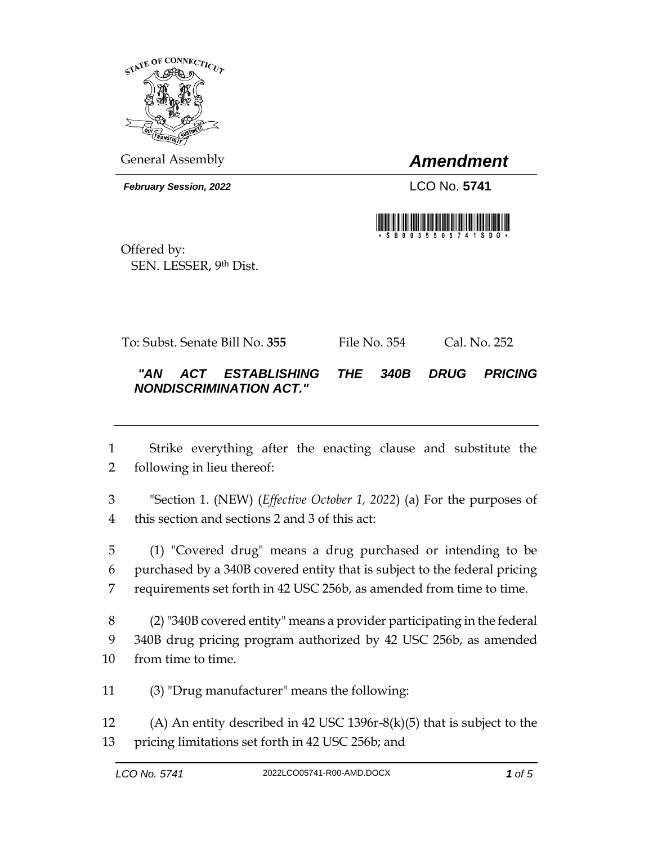

General Assembly *Amendment*

*February Session, 2022* LCO No. 5741



Offered by: SEN. LESSER, 9th Dist.

To: Subst. Senate Bill No. **355** File No. 354 Cal. No. 252

## *"AN ACT ESTABLISHING THE 340B DRUG PRICING NONDISCRIMINATION ACT."*

 Strike everything after the enacting clause and substitute the following in lieu thereof:

 "Section 1. (NEW) (*Effective October 1, 2022*) (a) For the purposes of this section and sections 2 and 3 of this act:

 (1) "Covered drug" means a drug purchased or intending to be purchased by a 340B covered entity that is subject to the federal pricing requirements set forth in 42 USC 256b, as amended from time to time.

 (2) "340B covered entity" means a provider participating in the federal 340B drug pricing program authorized by 42 USC 256b, as amended from time to time.

(3) "Drug manufacturer" means the following:

 (A) An entity described in 42 USC 1396r-8(k)(5) that is subject to the pricing limitations set forth in 42 USC 256b; and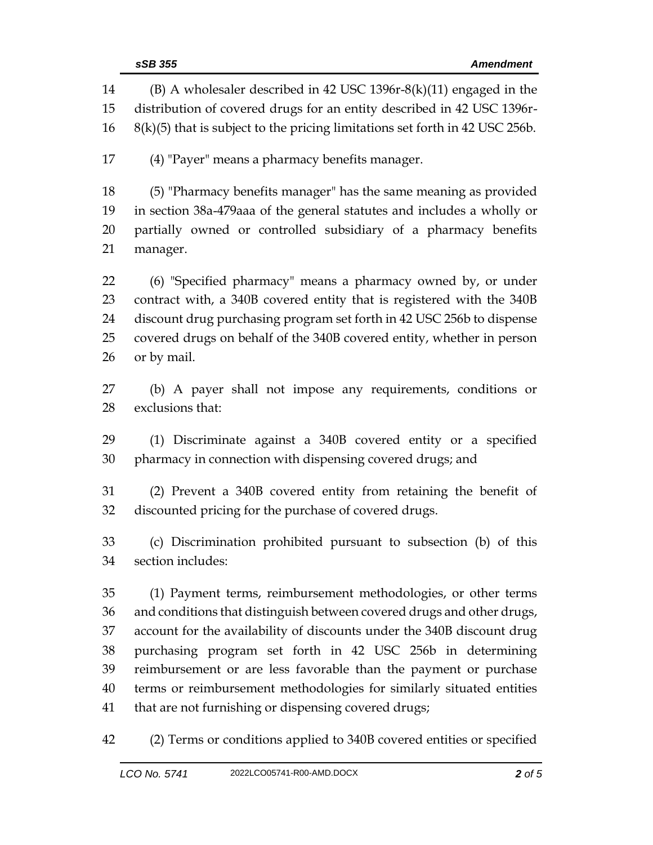|          | sSB 355<br><b>Amendment</b>                                                                                                                    |
|----------|------------------------------------------------------------------------------------------------------------------------------------------------|
| 14<br>15 | $(B)$ A wholesaler described in 42 USC 1396r-8(k)(11) engaged in the<br>distribution of covered drugs for an entity described in 42 USC 1396r- |
| 16       | $8(k)(5)$ that is subject to the pricing limitations set forth in 42 USC 256b.                                                                 |
| 17       | (4) "Payer" means a pharmacy benefits manager.                                                                                                 |
| 18       | (5) "Pharmacy benefits manager" has the same meaning as provided                                                                               |
| 19       | in section 38a-479aaa of the general statutes and includes a wholly or                                                                         |
| 20       | partially owned or controlled subsidiary of a pharmacy benefits                                                                                |
| 21       | manager.                                                                                                                                       |
| 22       | (6) "Specified pharmacy" means a pharmacy owned by, or under                                                                                   |
| 23       | contract with, a 340B covered entity that is registered with the 340B                                                                          |
| 24       | discount drug purchasing program set forth in 42 USC 256b to dispense                                                                          |
| 25       | covered drugs on behalf of the 340B covered entity, whether in person                                                                          |
| 26       | or by mail.                                                                                                                                    |
| 27       | (b) A payer shall not impose any requirements, conditions or                                                                                   |
| 28       | exclusions that:                                                                                                                               |
| 29       | (1) Discriminate against a 340B covered entity or a specified                                                                                  |
| 30       | pharmacy in connection with dispensing covered drugs; and                                                                                      |
| 31       | (2) Prevent a 340B covered entity from retaining the benefit of                                                                                |
| 32       | discounted pricing for the purchase of covered drugs.                                                                                          |
| 33       | (c) Discrimination prohibited pursuant to subsection (b) of this                                                                               |
| 34       | section includes:                                                                                                                              |
| 35       | (1) Payment terms, reimbursement methodologies, or other terms                                                                                 |
| 36       | and conditions that distinguish between covered drugs and other drugs,                                                                         |
| 37       | account for the availability of discounts under the 340B discount drug                                                                         |
| 38       | purchasing program set forth in 42 USC 256b in determining                                                                                     |
| 39       | reimbursement or are less favorable than the payment or purchase                                                                               |
| 40       | terms or reimbursement methodologies for similarly situated entities                                                                           |
| 41       | that are not furnishing or dispensing covered drugs;                                                                                           |
| 42       | (2) Terms or conditions applied to 340B covered entities or specified                                                                          |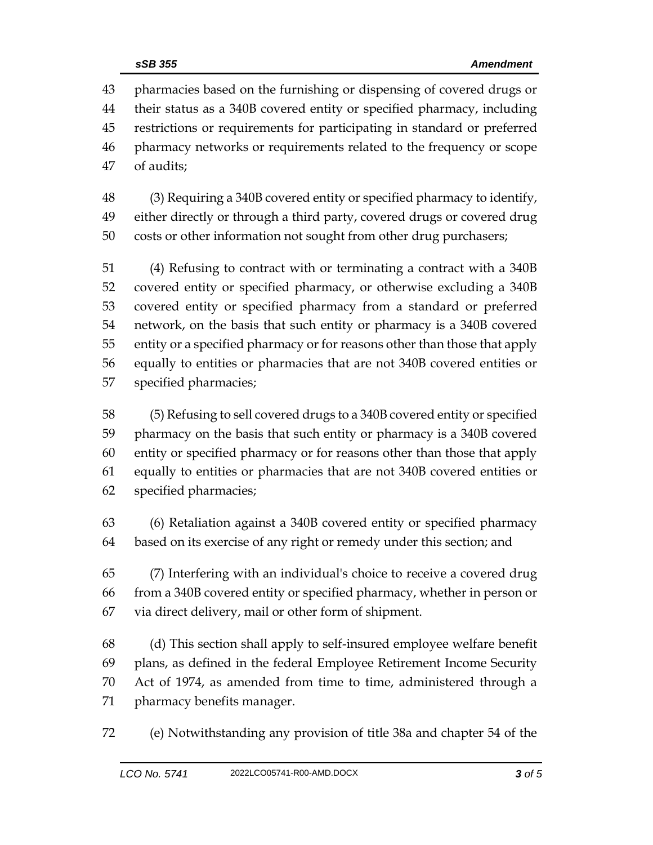pharmacies based on the furnishing or dispensing of covered drugs or their status as a 340B covered entity or specified pharmacy, including restrictions or requirements for participating in standard or preferred pharmacy networks or requirements related to the frequency or scope of audits;

 (3) Requiring a 340B covered entity or specified pharmacy to identify, either directly or through a third party, covered drugs or covered drug costs or other information not sought from other drug purchasers;

 (4) Refusing to contract with or terminating a contract with a 340B covered entity or specified pharmacy, or otherwise excluding a 340B covered entity or specified pharmacy from a standard or preferred network, on the basis that such entity or pharmacy is a 340B covered entity or a specified pharmacy or for reasons other than those that apply equally to entities or pharmacies that are not 340B covered entities or specified pharmacies;

 (5) Refusing to sell covered drugs to a 340B covered entity or specified pharmacy on the basis that such entity or pharmacy is a 340B covered entity or specified pharmacy or for reasons other than those that apply equally to entities or pharmacies that are not 340B covered entities or specified pharmacies;

 (6) Retaliation against a 340B covered entity or specified pharmacy based on its exercise of any right or remedy under this section; and

 (7) Interfering with an individual's choice to receive a covered drug from a 340B covered entity or specified pharmacy, whether in person or via direct delivery, mail or other form of shipment.

 (d) This section shall apply to self-insured employee welfare benefit plans, as defined in the federal Employee Retirement Income Security Act of 1974, as amended from time to time, administered through a pharmacy benefits manager.

(e) Notwithstanding any provision of title 38a and chapter 54 of the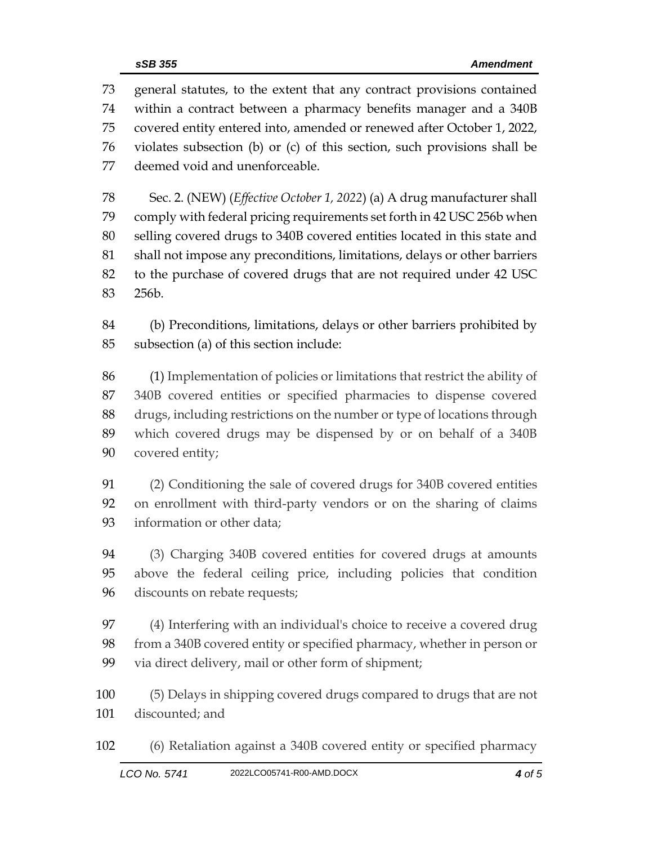general statutes, to the extent that any contract provisions contained within a contract between a pharmacy benefits manager and a 340B covered entity entered into, amended or renewed after October 1, 2022, violates subsection (b) or (c) of this section, such provisions shall be deemed void and unenforceable.

 Sec. 2. (NEW) (*Effective October 1, 2022*) (a) A drug manufacturer shall comply with federal pricing requirements set forth in 42 USC 256b when selling covered drugs to 340B covered entities located in this state and shall not impose any preconditions, limitations, delays or other barriers to the purchase of covered drugs that are not required under 42 USC 256b.

 (b) Preconditions, limitations, delays or other barriers prohibited by subsection (a) of this section include:

 (1) Implementation of policies or limitations that restrict the ability of 340B covered entities or specified pharmacies to dispense covered drugs, including restrictions on the number or type of locations through which covered drugs may be dispensed by or on behalf of a 340B covered entity;

 (2) Conditioning the sale of covered drugs for 340B covered entities on enrollment with third-party vendors or on the sharing of claims information or other data;

 (3) Charging 340B covered entities for covered drugs at amounts above the federal ceiling price, including policies that condition discounts on rebate requests;

 (4) Interfering with an individual's choice to receive a covered drug from a 340B covered entity or specified pharmacy, whether in person or via direct delivery, mail or other form of shipment;

 (5) Delays in shipping covered drugs compared to drugs that are not discounted; and

(6) Retaliation against a 340B covered entity or specified pharmacy